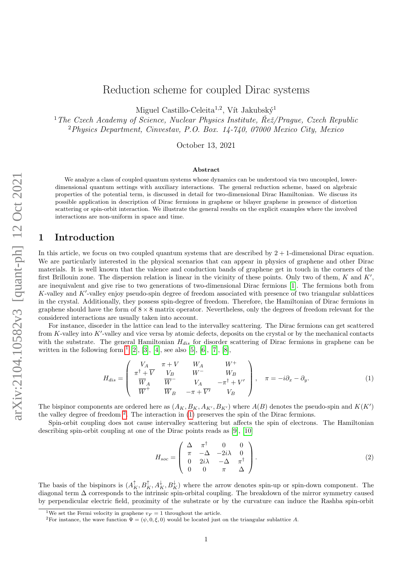# Reduction scheme for coupled Dirac systems

Miguel Castillo-Celeita<sup>1,2</sup>, Vít Jakubský<sup>1</sup>

<sup>1</sup>The Czech Academy of Science, Nuclear Physics Institute,  $\check{Re\zeta}/P$ raque, Czech Republic <sup>2</sup>Physics Department, Cinvestav, P.O. Box. 14-740, 07000 Mexico City, Mexico

October 13, 2021

#### Abstract

We analyze a class of coupled quantum systems whose dynamics can be understood via two uncoupled, lowerdimensional quantum settings with auxiliary interactions. The general reduction scheme, based on algebraic properties of the potential term, is discussed in detail for two-dimensional Dirac Hamiltonian. We discuss its possible application in description of Dirac fermions in graphene or bilayer graphene in presence of distortion scattering or spin-orbit interaction. We illustrate the general results on the explicit examples where the involved interactions are non-uniform in space and time.

## 1 Introduction

In this article, we focus on two coupled quantum systems that are described by  $2 + 1$ -dimensional Dirac equation. We are particularly interested in the physical scenarios that can appear in physics of graphene and other Dirac materials. It is well known that the valence and conduction bands of graphene get in touch in the corners of the first Brillouin zone. The dispersion relation is linear in the vicinity of these points. Only two of them,  $K$  and  $K'$ , are inequivalent and give rise to two generations of two-dimensional Dirac fermions [\[1\]](#page-10-0). The fermions both from  $K$ -valley and  $K'$ -valley enjoy pseudo-spin degree of freedom associated with presence of two triangular sublattices in the crystal. Additionally, they possess spin-degree of freedom. Therefore, the Hamiltonian of Dirac fermions in graphene should have the form of  $8 \times 8$  matrix operator. Nevertheless, only the degrees of freedom relevant for the considered interactions are usually taken into account.

For instance, disorder in the lattice can lead to the intervalley scattering. The Dirac fermions can get scattered from  $K$ -valley into  $K'$ -valley and vice versa by atomic defects, deposits on the crystal or by the mechanical contacts with the substrate. The general Hamiltonian  $H_{dis}$  for disorder scattering of Dirac fermions in graphene can be written in the following form  $<sup>1</sup>$  $<sup>1</sup>$  $<sup>1</sup>$  [\[2\]](#page-10-1), [\[3\]](#page-10-2), [\[4\]](#page-10-3), see also [\[5\]](#page-10-4), [\[6\]](#page-10-5), [\[7\]](#page-10-6), [\[8\]](#page-10-7),</sup>

<span id="page-0-2"></span>
$$
H_{dis} = \begin{pmatrix} V_A & \pi + V & W_A & W^+ \\ \pi^{\dagger} + \overline{V} & V_B & W^- & W_B \\ \overline{W}_A & \overline{W}^- & V_A & -\pi^{\dagger} + V' \\ \overline{W}^+ & \overline{W}_B & -\pi + \overline{V'} & V_B \end{pmatrix}, \quad \pi = -i\partial_x - \partial_y.
$$
 (1)

The bispinor components are ordered here as  $(A_K, B_K, A_{K'}, B_{K'})$  where  $A(B)$  denotes the pseudo-spin and  $K(K')$ the valley degree of freedom  $2$ . The interaction in [\(1\)](#page-0-2) preserves the spin of the Dirac fermions.

Spin-orbit coupling does not cause intervalley scattering but affects the spin of electrons. The Hamiltonian describing spin-orbit coupling at one of the Dirac points reads as [\[9\]](#page-10-8), [\[10\]](#page-10-9)

<span id="page-0-3"></span>
$$
H_{soc} = \begin{pmatrix} \Delta & \pi^{\dagger} & 0 & 0 \\ \pi & -\Delta & -2i\lambda & 0 \\ 0 & 2i\lambda & -\Delta & \pi^{\dagger} \\ 0 & 0 & \pi & \Delta \end{pmatrix} . \tag{2}
$$

The basis of the bispinors is  $(A_K^{\uparrow}, B_K^{\uparrow}, A_K^{\downarrow}, B_K^{\downarrow})$  where the arrow denotes spin-up or spin-down component. The diagonal term ∆ corresponds to the intrinsic spin-orbital coupling. The breakdown of the mirror symmetry caused by perpendicular electric field, proximity of the substrate or by the curvature can induce the Rashba spin-orbit

<span id="page-0-0"></span><sup>&</sup>lt;sup>1</sup>We set the Fermi velocity in graphene  $v_F = 1$  throughout the article.

<span id="page-0-1"></span><sup>&</sup>lt;sup>2</sup>For instance, the wave function  $\Psi = (\psi, 0, \xi, 0)$  would be located just on the triangular sublattice A.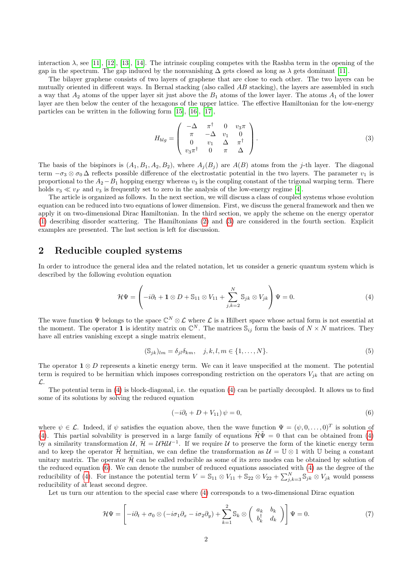interaction  $\lambda$ , see [\[11\]](#page-10-10), [\[12\]](#page-10-11), [\[13\]](#page-10-12), [\[14\]](#page-10-13). The intrinsic coupling competes with the Rashba term in the opening of the gap in the spectrum. The gap induced by the nonvanishing  $\Delta$  gets closed as long as  $\lambda$  gets dominant [\[11\]](#page-10-10).

The bilayer graphene consists of two layers of graphene that are close to each other. The two layers can be mutually oriented in different ways. In Bernal stacking (also called AB stacking), the layers are assembled in such a way that  $A_2$  atoms of the upper layer sit just above the  $B_1$  atoms of the lower layer. The atoms  $A_1$  of the lower layer are then below the center of the hexagons of the upper lattice. The effective Hamiltonian for the low-energy particles can be written in the following form [\[15\]](#page-11-0), [\[16\]](#page-11-1), [\[17\]](#page-11-2),

<span id="page-1-0"></span>
$$
H_{blg} = \begin{pmatrix} -\Delta & \pi^{\dagger} & 0 & v_{3}\pi \\ \pi & -\Delta & v_{1} & 0 \\ 0 & v_{1} & \Delta & \pi^{\dagger} \\ v_{3}\pi^{\dagger} & 0 & \pi & \Delta \end{pmatrix}.
$$
 (3)

The basis of the bispinors is  $(A_1, B_1, A_2, B_2)$ , where  $A_i(B_i)$  are  $A(B)$  atoms from the j-th layer. The diagonal term  $-\sigma_3 \otimes \sigma_0 \Delta$  reflects possible difference of the electrostatic potential in the two layers. The parameter  $v_1$  is proportional to the  $A_2-B_1$  hopping energy whereas  $v_3$  is the coupling constant of the trigonal warping term. There holds  $v_3 \ll v_F$  and  $v_3$  is frequently set to zero in the analysis of the low-energy regime [\[4\]](#page-10-3).

The article is organized as follows. In the next section, we will discuss a class of coupled systems whose evolution equation can be reduced into two equations of lower dimension. First, we discuss the general framework and then we apply it on two-dimensional Dirac Hamiltonian. In the third section, we apply the scheme on the energy operator [\(1\)](#page-0-2) describing disorder scattering. The Hamiltonians [\(2\)](#page-0-3) and [\(3\)](#page-1-0) are considered in the fourth section. Explicit examples are presented. The last section is left for discussion.

## 2 Reducible coupled systems

In order to introduce the general idea and the related notation, let us consider a generic quantum system which is described by the following evolution equation

<span id="page-1-1"></span>
$$
\mathcal{H}\Psi = \left(-i\partial_t + \mathbf{1} \otimes D + \mathbb{S}_{11} \otimes V_{11} + \sum_{j,k=2}^N \mathbb{S}_{jk} \otimes V_{jk}\right)\Psi = 0.
$$
\n(4)

The wave function  $\Psi$  belongs to the space  $\mathbb{C}^N\otimes\mathcal{L}$  where  $\mathcal{L}$  is a Hilbert space whose actual form is not essential at the moment. The operator 1 is identity matrix on  $\mathbb{C}^N$ . The matrices  $\mathbb{S}_{ij}$  form the basis of  $N \times N$  matrices. They have all entries vanishing except a single matrix element,

$$
(\mathbb{S}_{jk})_{lm} = \delta_{jl}\delta_{km}, \quad j, k, l, m \in \{1, \dots, N\}.
$$
\n
$$
(5)
$$

The operator  $\mathbf{1} \otimes D$  represents a kinetic energy term. We can it leave unspecified at the moment. The potential term is required to be hermitian which imposes corresponding restriction on the operators  $V_{ik}$  that are acting on L.

The potential term in [\(4\)](#page-1-1) is block-diagonal, i.e. the equation [\(4\)](#page-1-1) can be partially decoupled. It allows us to find some of its solutions by solving the reduced equation

<span id="page-1-2"></span>
$$
(-i\partial_t + D + V_{11})\psi = 0,\t\t(6)
$$

where  $\psi \in \mathcal{L}$ . Indeed, if  $\psi$  satisfies the equation above, then the wave function  $\Psi = (\psi, 0, \dots, 0)^T$  is solution of [\(4\)](#page-1-1). This partial solvability is preserved in a large family of equations  $\tilde{\mathcal{H}}\Psi = 0$  that can be obtained from (4) by a similarity transformation  $\mathcal{U}, \tilde{\mathcal{H}} = \mathcal{U}\mathcal{H}\mathcal{U}^{-1}$ . If we require  $\mathcal{U}$  to preserve the form of the kinetic energy term and to keep the operator  $\mathcal{H}$  hermitian, we can define the transformation as  $\mathcal{U} = \mathbb{U} \otimes 1$  with U being a constant unitary matrix. The operator  $\tilde{\mathcal{H}}$  can be called reducible as some of its zero modes can be obtained by solution of the reduced equation [\(6\)](#page-1-2). We can denote the number of reduced equations associated with [\(4\)](#page-1-1) as the degree of the reducibility of [\(4\)](#page-1-1). For instance the potential term  $V = \mathbb{S}_{11} \otimes V_{11} + \mathbb{S}_{22} \otimes V_{22} + \sum_{j,k=3}^{N} \mathbb{S}_{jk} \otimes V_{jk}$  would possess reducibility of at least second degree.

Let us turn our attention to the special case where [\(4\)](#page-1-1) corresponds to a two-dimensional Dirac equation

<span id="page-1-3"></span>
$$
\mathcal{H}\Psi = \left[ -i\partial_t + \sigma_0 \otimes (-i\sigma_1 \partial_x - i\sigma_2 \partial_y) + \sum_{k=1}^2 \mathbb{S}_k \otimes \begin{pmatrix} a_k & b_k \\ b_k^{\dagger} & d_k \end{pmatrix} \right] \Psi = 0.
$$
 (7)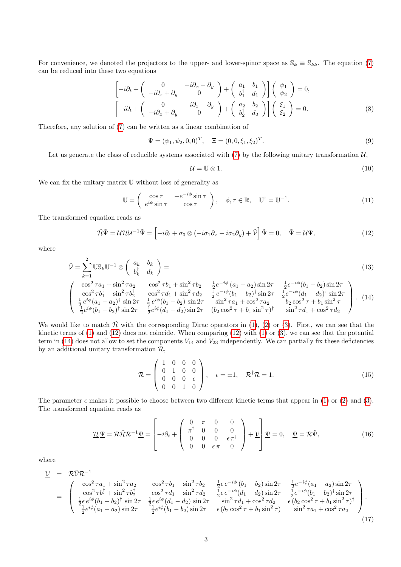For convenience, we denoted the projectors to the upper- and lower-spinor space as  $\mathbb{S}_k \equiv \mathbb{S}_{kk}$ . The equation [\(7\)](#page-1-3) can be reduced into these two equations

<span id="page-2-5"></span>
$$
\begin{bmatrix} -i\partial_t + \begin{pmatrix} 0 & -i\partial_x - \partial_y \\ -i\partial_x + \partial_y & 0 \end{pmatrix} + \begin{pmatrix} a_1 & b_1 \\ b_1^{\dagger} & d_1 \end{pmatrix} \end{bmatrix} \begin{pmatrix} \psi_1 \\ \psi_2 \end{pmatrix} = 0, \n\begin{bmatrix} -i\partial_t + \begin{pmatrix} 0 & -i\partial_x - \partial_y \\ -i\partial_x + \partial_y & 0 \end{pmatrix} + \begin{pmatrix} a_2 & b_2 \\ b_2^{\dagger} & d_2 \end{pmatrix} \end{bmatrix} \begin{pmatrix} \xi_1 \\ \xi_2 \end{pmatrix} = 0.
$$
\n(8)

Therefore, any solution of [\(7\)](#page-1-3) can be written as a linear combination of

<span id="page-2-4"></span>
$$
\Psi = (\psi_1, \psi_2, 0, 0)^T, \quad \Xi = (0, 0, \xi_1, \xi_2)^T.
$$
\n(9)

Let us generate the class of reducible systems associated with  $(7)$  by the following unitary transformation  $\mathcal{U}$ ,

$$
\mathcal{U} = \mathbb{U} \otimes 1. \tag{10}
$$

We can fix the unitary matrix  $\mathbb U$  without loss of generality as

$$
\mathbb{U} = \begin{pmatrix} \cos \tau & -e^{-i\phi} \sin \tau \\ e^{i\phi} \sin \tau & \cos \tau \end{pmatrix}, \quad \phi, \tau \in \mathbb{R}, \quad \mathbb{U}^{\dagger} = \mathbb{U}^{-1}.
$$
 (11)

The transformed equation reads as

 $\sim$ 

<span id="page-2-0"></span>
$$
\tilde{\mathcal{H}}\tilde{\Psi} = \mathcal{U}\mathcal{H}\mathcal{U}^{-1}\tilde{\Psi} = \left[-i\partial_t + \sigma_0 \otimes (-i\sigma_1 \partial_x - i\sigma_2 \partial_y) + \tilde{\mathcal{V}}\right]\tilde{\Psi} = 0, \quad \tilde{\Psi} = \mathcal{U}\Psi,
$$
\n(12)

where

<span id="page-2-1"></span>
$$
\tilde{\mathcal{V}} = \sum_{k=1}^{2} \mathbb{US}_k \mathbb{U}^{-1} \otimes \begin{pmatrix} a_k & b_k \\ b_k^{\dagger} & d_k \end{pmatrix} =
$$
\n
$$
\begin{pmatrix} \cos^2 \tau a_1 + \sin^2 \tau a_2 & \cos^2 \tau b_1 + \sin^2 \tau b_2 & \frac{1}{2} e^{-i\phi} (a_1 - a_2) \sin 2\tau & \frac{1}{2} e^{-i\phi} (b_1 - b_2) \sin 2\tau \end{pmatrix}
$$
\n(13)

$$
\begin{pmatrix}\n\cos^2 \tau a_1 + \sin^2 \tau a_2 & \cos^2 \tau b_1 + \sin^2 \tau b_2 & \frac{1}{2} e^{-i\phi} (a_1 - a_2) \sin 2\tau & \frac{1}{2} e^{-i\phi} (b_1 - b_2) \sin 2\tau \\
\cos^2 \tau b_1^{\dagger} + \sin^2 \tau b_2^{\dagger} & \cos^2 \tau d_1 + \sin^2 \tau d_2 & \frac{1}{2} e^{-i\phi} (b_1 - b_2)^{\dagger} \sin 2\tau & \frac{1}{2} e^{-i\phi} (d_1 - d_2)^{\dagger} \sin 2\tau \\
\frac{1}{2} e^{i\phi} (a_1 - a_2)^{\dagger} \sin 2\tau & \frac{1}{2} e^{i\phi} (b_1 - b_2) \sin 2\tau & \sin^2 \tau a_1 + \cos^2 \tau a_2 & b_2 \cos^2 \tau + b_1 \sin^2 \tau \\
\frac{1}{2} e^{i\phi} (b_1 - b_2)^{\dagger} \sin 2\tau & \frac{1}{2} e^{i\phi} (d_1 - d_2) \sin 2\tau & (b_2 \cos^2 \tau + b_1 \sin^2 \tau)^{\dagger} & \sin^2 \tau d_1 + \cos^2 \tau d_2\n\end{pmatrix}.
$$
 (14)

We would like to match  $\tilde{\mathcal{H}}$  with the corresponding Dirac operators in [\(1\)](#page-0-2), [\(2\)](#page-0-3) or [\(3\)](#page-1-0). First, we can see that the kinetic terms of [\(1\)](#page-0-2) and [\(12\)](#page-2-0) does not coincide. When comparing [\(12\)](#page-2-0) with [\(1\)](#page-0-2) or [\(3\)](#page-1-0), we can see that the potential term in  $(14)$  does not allow to set the components  $V_{14}$  and  $V_{23}$  independently. We can partially fix these deficiencies by an additional unitary transformation  $\mathcal{R}$ ,

$$
\mathcal{R} = \begin{pmatrix} 1 & 0 & 0 & 0 \\ 0 & 1 & 0 & 0 \\ 0 & 0 & 0 & \epsilon \\ 0 & 0 & 1 & 0 \end{pmatrix}, \quad \epsilon = \pm 1, \quad \mathcal{R}^{\dagger}\mathcal{R} = 1.
$$
 (15)

The parameter  $\epsilon$  makes it possible to choose between two different kinetic terms that appear in [\(1\)](#page-0-2) or [\(2\)](#page-0-3) and [\(3\)](#page-1-0). The transformed equation reads as

<span id="page-2-3"></span>
$$
\underline{\mathcal{H}}\underline{\Psi} = \mathcal{R}\tilde{\mathcal{H}}\mathcal{R}^{-1}\underline{\Psi} = \begin{bmatrix} 0 & \pi & 0 & 0 \\ \pi^{\dagger} & 0 & 0 & 0 \\ 0 & 0 & 0 & \epsilon\pi^{\dagger} \\ 0 & 0 & \epsilon\pi & 0 \end{bmatrix} + \underline{\mathcal{V}}\underline{\Psi} = 0, \quad \underline{\Psi} = \mathcal{R}\tilde{\Psi}, \tag{16}
$$

where

<span id="page-2-2"></span>
$$
\underline{V} = \mathcal{R}\tilde{V}\mathcal{R}^{-1} = \begin{pmatrix} \cos^2 \tau a_1 + \sin^2 \tau a_2 & \cos^2 \tau b_1 + \sin^2 \tau b_2 & \frac{1}{2}\epsilon e^{-i\phi} (b_1 - b_2) \sin 2\tau & \frac{1}{2}e^{-i\phi} (a_1 - a_2) \sin 2\tau \\ \cos^2 \tau b_1^{\dagger} + \sin^2 \tau b_2^{\dagger} & \cos^2 \tau d_1 + \sin^2 \tau d_2 & \frac{1}{2}\epsilon e^{-i\phi} (d_1 - d_2) \sin 2\tau & \frac{1}{2}e^{-i\phi} (b_1 - b_2)^{\dagger} \sin 2\tau \\ \frac{1}{2}\epsilon e^{i\phi} (b_1 - b_2)^{\dagger} \sin 2\tau & \frac{1}{2}\epsilon e^{i\phi} (d_1 - d_2) \sin 2\tau & \sin^2 \tau d_1 + \cos^2 \tau d_2 & \epsilon (b_2 \cos^2 \tau + b_1 \sin^2 \tau)^{\dagger} \\ \frac{1}{2}e^{i\phi} (a_1 - a_2) \sin 2\tau & \frac{1}{2}e^{i\phi} (b_1 - b_2) \sin 2\tau & \epsilon (b_2 \cos^2 \tau + b_1 \sin^2 \tau) & \sin^2 \tau a_1 + \cos^2 \tau a_2 \end{pmatrix}.
$$
\n(17)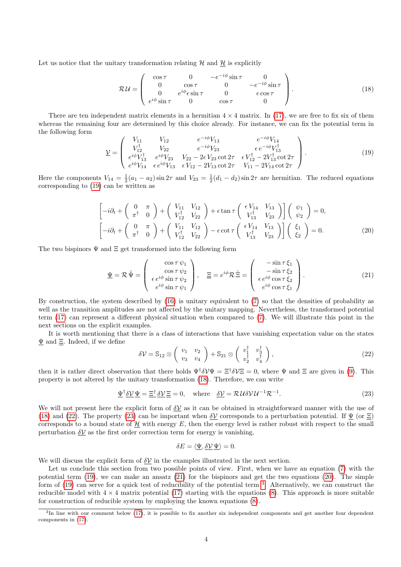Let us notice that the unitary transformation relating  $H$  and  $H$  is explicitly

<span id="page-3-1"></span>
$$
\mathcal{R}\mathcal{U} = \left(\begin{array}{cccc} \cos \tau & 0 & -e^{-i\phi}\sin \tau & 0\\ 0 & \cos \tau & 0 & -e^{-i\phi}\sin \tau\\ 0 & e^{i\phi}\sin \tau & 0 & \epsilon \cos \tau\\ e^{i\phi}\sin \tau & 0 & \cos \tau & 0 \end{array}\right). \tag{18}
$$

There are ten independent matrix elements in a hermitian  $4 \times 4$  matrix. In [\(17\)](#page-2-2), we are free to fix six of them whereas the remaining four are determined by this choice already. For instance, we can fix the potential term in the following form

<span id="page-3-0"></span>
$$
\underline{\mathcal{V}} = \begin{pmatrix} V_{11} & V_{12} & e^{-i\phi} V_{13} & e^{-i\phi} V_{14} \\ V_{12}^{\dagger} & V_{22} & e^{-i\phi} V_{23} & \epsilon e^{-i\phi} V_{13}^{\dagger} \\ e^{i\phi} V_{13}^{\dagger} & e^{i\phi} V_{23} & V_{22} - 2\epsilon V_{23} \cot 2\tau & \epsilon V_{12}^{\dagger} - 2V_{13}^{\dagger} \cot 2\tau \\ e^{i\phi} V_{14} & \epsilon e^{i\phi} V_{13} & \epsilon V_{12} - 2V_{13} \cot 2\tau & V_{11} - 2V_{14} \cot 2\tau \end{pmatrix} . \tag{19}
$$

Here the components  $V_{14} = \frac{1}{2}(a_1 - a_2)\sin 2\tau$  and  $V_{23} = \frac{1}{2}(d_1 - d_2)\sin 2\tau$  are hermitian. The reduced equations corresponding to [\(19\)](#page-3-0) can be written as

<span id="page-3-5"></span>
$$
\begin{bmatrix} -i\partial_t + \begin{pmatrix} 0 & \pi \\ \pi^\dagger & 0 \end{pmatrix} + \begin{pmatrix} V_{11} & V_{12} \\ V_{12}^\dagger & V_{22} \end{pmatrix} + \epsilon \tan \tau \begin{pmatrix} \epsilon V_{14} & V_{13} \\ V_{13}^\dagger & V_{23} \end{pmatrix} \begin{bmatrix} \psi_1 \\ \psi_2 \end{bmatrix} = 0, \n\begin{bmatrix} -i\partial_t + \begin{pmatrix} 0 & \pi \\ \pi^\dagger & 0 \end{pmatrix} + \begin{pmatrix} V_{11} & V_{12} \\ V_{12}^\dagger & V_{22} \end{pmatrix} - \epsilon \cot \tau \begin{pmatrix} \epsilon V_{14} & V_{13} \\ V_{13}^\dagger & V_{23} \end{pmatrix} \end{bmatrix} \begin{pmatrix} \xi_1 \\ \xi_2 \end{pmatrix} = 0.
$$
\n(20)

The two bispinors  $\Psi$  and  $\Xi$  get transformed into the following form

<span id="page-3-4"></span>
$$
\underline{\Psi} = \mathcal{R} \tilde{\Psi} = \begin{pmatrix} \cos \tau \psi_1 \\ \cos \tau \psi_2 \\ \epsilon e^{i\phi} \sin \tau \psi_2 \\ e^{i\phi} \sin \tau \psi_1 \end{pmatrix}, \quad \underline{\Xi} = e^{i\phi} \mathcal{R} \tilde{\Xi} = \begin{pmatrix} -\sin \tau \xi_1 \\ -\sin \tau \xi_2 \\ \epsilon e^{i\phi} \cos \tau \xi_2 \\ e^{i\phi} \cos \tau \xi_1 \end{pmatrix}.
$$
 (21)

By construction, the system described by [\(16\)](#page-2-3) is unitary equivalent to [\(7\)](#page-1-3) so that the densities of probability as well as the transition amplitudes are not affected by the unitary mapping. Nevertheless, the transformed potential term [\(17\)](#page-2-2) can represent a different physical situation when compared to [\(7\)](#page-1-3). We will illustrate this point in the next sections on the explicit examples.

It is worth mentioning that there is a class of interactions that have vanishing expectation value on the states  $\Psi$  and  $\Xi$ . Indeed, if we define

<span id="page-3-2"></span>
$$
\delta \mathcal{V} = \mathbb{S}_{12} \otimes \left( \begin{array}{cc} v_1 & v_2 \\ v_3 & v_4 \end{array} \right) + \mathbb{S}_{21} \otimes \left( \begin{array}{cc} v_1^\dagger & v_3^\dagger \\ v_2^\dagger & v_4^\dagger \end{array} \right),\tag{22}
$$

then it is rather direct observation that there holds  $\Psi^{\dagger} \delta V \Psi = \Xi^{\dagger} \delta V \Xi = 0$ , where  $\Psi$  and  $\Xi$  are given in [\(9\)](#page-2-4). This property is not altered by the unitary transformation [\(18\)](#page-3-1). Therefore, we can write

<span id="page-3-3"></span>
$$
\underline{\Psi}^{\dagger} \underline{\delta} \underline{\mathcal{V}} \underline{\Psi} = \underline{\Xi}^{\dagger} \underline{\delta} \underline{\mathcal{V}} \underline{\Xi} = 0, \quad \text{where} \quad \underline{\delta} \underline{\mathcal{V}} = \mathcal{R} \mathcal{U} \delta \mathcal{V} \mathcal{U}^{-1} \mathcal{R}^{-1}.
$$
 (23)

We will not present here the explicit form of  $\delta V$  as it can be obtained in straightforward manner with the use of [\(18\)](#page-3-1) and [\(22\)](#page-3-2). The property [\(23\)](#page-3-3) can be important when  $\delta V$  corresponds to a perturbation potential. If  $\Psi$  (or  $\Xi$ ) corresponds to a bound state of  $H$  with energy  $E$ , then the energy level is rather robust with respect to the small perturbation  $\delta V$  as the first order correction term for energy is vanishing,

$$
\delta E = \langle \underline{\Psi}, \underline{\delta \mathcal{V}} \underline{\Psi} \rangle = 0.
$$

We will discuss the explicit form of  $\delta V$  in the examples illustrated in the next section.

Let us conclude this section from two possible points of view. First, when we have an equation [\(7\)](#page-1-3) with the potential term [\(19\)](#page-3-0), we can make an ansatz [\(21\)](#page-3-4) for the bispinors and get the two equations [\(20\)](#page-3-5). The simple form of [\(19\)](#page-3-0) can serve for a quick test of reducibility of the potential term <sup>[3](#page-3-6)</sup>. Alternatively, we can construct the reducible model with  $4 \times 4$  matrix potential [\(17\)](#page-2-2) starting with the equations [\(8\)](#page-2-5). This approach is more suitable for construction of reducible system by employing the known equations [\(8\)](#page-2-5).

<span id="page-3-6"></span><sup>&</sup>lt;sup>3</sup>In line with our comment below [\(17\)](#page-2-2), it is possible to fix another six independent components and get another four dependent components in [\(17\)](#page-2-2).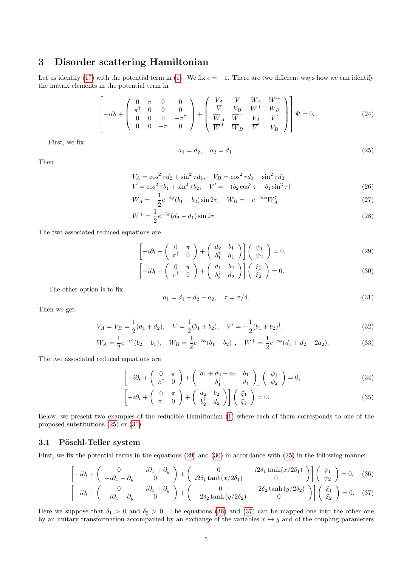## 3 Disorder scattering Hamiltonian

Let us identify [\(17\)](#page-2-2) with the potential term in [\(1\)](#page-0-2). We fix  $\epsilon = -1$ . There are two different ways how we can identify the matrix elements in the potential term in

$$
\begin{bmatrix} 0 & \pi & 0 & 0 \\ -i\partial_t + \begin{pmatrix} 0 & \pi & 0 & 0 \\ \pi^{\dagger} & 0 & 0 & 0 \\ 0 & 0 & 0 & -\pi^{\dagger} \\ 0 & 0 & -\pi & 0 \end{pmatrix} + \begin{pmatrix} V_A & V & W_A & W^+ \\ \overline{V} & V_B & W^+ & W_B \\ \overline{W}_A & \overline{W}^+ & V_A & V' \\ \overline{W}^+ & \overline{W}_B & \overline{V}' & V_B \end{pmatrix} \Psi = 0. \tag{24}
$$

First, we fix

<span id="page-4-0"></span>
$$
a_1 = d_2, \quad a_2 = d_1. \tag{25}
$$

Then

$$
V_A = \cos^2 \tau d_2 + \sin^2 \tau d_1, \quad V_B = \cos^2 \tau d_1 + \sin^2 \tau d_2
$$
  
\n
$$
V = \cos^2 \tau b_1 + \sin^2 \tau b_2, \quad V' = -(b_2 \cos^2 \tau + b_1 \sin^2 \tau)^{\dagger}
$$
\n(26)

$$
W_A = -\frac{1}{2}e^{-i\phi}(b_1 - b_2)\sin 2\tau, \quad W_B = -e^{-2i\phi}W_A^{\dagger}
$$
 (27)

$$
W^{+} = \frac{1}{2}e^{-i\phi}(d_2 - d_1)\sin 2\tau.
$$
\n(28)

The two associated reduced equations are

<span id="page-4-2"></span>
$$
\left[-i\partial_t + \begin{pmatrix} 0 & \pi \\ \pi^\dagger & 0 \end{pmatrix} + \begin{pmatrix} d_2 & b_1 \\ b_1^\dagger & d_1 \end{pmatrix}\right] \begin{pmatrix} \psi_1 \\ \psi_2 \end{pmatrix} = 0,\tag{29}
$$

$$
\left[-i\partial_t + \begin{pmatrix} 0 & \pi \\ \pi^\dagger & 0 \end{pmatrix} + \begin{pmatrix} d_1 & b_2 \\ b_2^\dagger & d_2 \end{pmatrix}\right] \begin{pmatrix} \xi_1 \\ \xi_2 \end{pmatrix} = 0.
$$
 (30)

The other option is to fix

<span id="page-4-1"></span>
$$
a_1 = d_1 + d_2 - a_2, \quad \tau = \pi/4. \tag{31}
$$

Then we get

$$
V_A = V_B = \frac{1}{2}(d_1 + d_2), \quad V = \frac{1}{2}(b_1 + b_2), \quad V' = -\frac{1}{2}(b_1 + b_2)^{\dagger}, \tag{32}
$$

$$
W_A = \frac{1}{2}e^{-i\phi}(b_2 - b_1), \quad W_B = \frac{1}{2}e^{-i\phi}(b_1 - b_2)^{\dagger}, \quad W^+ = \frac{1}{2}e^{-i\phi}(d_1 + d_2 - 2a_2). \tag{33}
$$

The two associated reduced equations are

<span id="page-4-4"></span>
$$
\left[-i\partial_t + \begin{pmatrix} 0 & \pi \\ \pi^\dagger & 0 \end{pmatrix} + \begin{pmatrix} d_1 + d_2 - a_2 & b_1 \\ b_1^\dagger & d_1 \end{pmatrix}\right] \begin{pmatrix} \psi_1 \\ \psi_2 \end{pmatrix} = 0,\tag{34}
$$

$$
\left[-i\partial_t + \begin{pmatrix} 0 & \pi \\ \pi^\dagger & 0 \end{pmatrix} + \begin{pmatrix} a_2 & b_2 \\ b_2^\dagger & d_2 \end{pmatrix}\right] \begin{pmatrix} \xi_1 \\ \xi_2 \end{pmatrix} = 0.
$$
 (35)

Below, we present two examples of the reducible Hamiltonian [\(1\)](#page-0-2) where each of them corresponds to one of the proposed substitutions [\(25\)](#page-4-0) or [\(31\)](#page-4-1).

### <span id="page-4-5"></span>3.1 Pöschl-Teller system

First, we fix the potential terms in the equations [\(29\)](#page-4-2) and [\(30\)](#page-4-2) in accordance with [\(25\)](#page-4-0) in the following manner

<span id="page-4-3"></span>
$$
\begin{bmatrix} -i\partial_t + \begin{pmatrix} 0 & -i\partial_x + \partial_y \\ -i\partial_x - \partial_y & 0 \end{pmatrix} + \begin{pmatrix} 0 & -i2\delta_1 \tanh(x/2\delta_1) \\ i2\delta_1 \tanh(x/2\delta_1) & 0 \end{pmatrix} \begin{pmatrix} \psi_1 \\ \psi_2 \end{pmatrix} = 0, (36)
$$

$$
\begin{bmatrix} -i\partial_t + \begin{pmatrix} 0 & -i\partial_x + \partial_y \\ -i\partial_x - \partial_y & 0 \end{pmatrix} + \begin{pmatrix} 0 & -2\delta_2 \tanh(y/2\delta_2) \\ -2\delta_2 \tanh(y/2\delta_2) & 0 \end{pmatrix} \begin{pmatrix} \xi_1 \\ \xi_2 \end{pmatrix} = 0. (37)
$$

Here we suppose that  $\delta_1 > 0$  and  $\delta_2 > 0$ . The equations [\(36\)](#page-4-3) and [\(37\)](#page-4-3) can be mapped one into the other one by an unitary transformation accompanied by an exchange of the variables  $x \leftrightarrow y$  and of the coupling parameters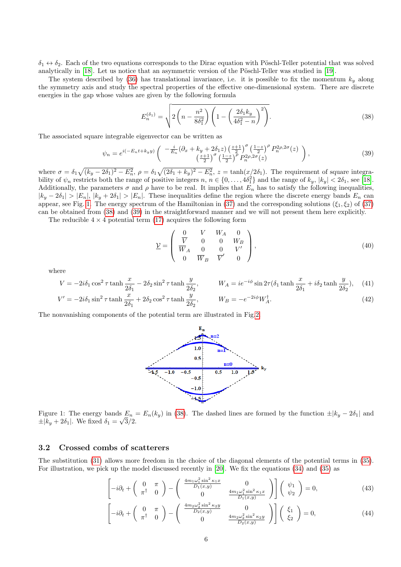$\delta_1 \leftrightarrow \delta_2$ . Each of the two equations corresponds to the Dirac equation with Pöschl-Teller potential that was solved analytically in  $[18]$ . Let us notice that an asymmetric version of the Pöschl-Teller was studied in  $[19]$ .

The system described by [\(36\)](#page-4-3) has translational invariance, i.e. it is possible to fix the momentum  $k_y$  along the symmetry axis and study the spectral properties of the effective one-dimensional system. There are discrete energies in the gap whose values are given by the following formula

<span id="page-5-1"></span>
$$
E_n^{(\delta_1)} = \sqrt{2\left(n - \frac{n^2}{8\delta_1^2}\right)\left(1 - \left(\frac{2\delta_1 k_y}{4\delta_1^2 - n}\right)^2\right)}.
$$
\n(38)

The associated square integrable eigenvector can be written as

<span id="page-5-2"></span>
$$
\psi_n = e^{i(-E_n t + k_y y)} \left( \begin{array}{c} -\frac{i}{E_n} (\partial_x + k_y + 2\delta_1 z) \left(\frac{z+1}{2}\right)^\sigma \left(\frac{1-z}{2}\right)^\rho P_n^{2\rho,2\sigma}(z) \\ \left(\frac{z+1}{2}\right)^\sigma \left(\frac{1-z}{2}\right)^\rho P_n^{2\rho,2\sigma}(z) \end{array} \right),\tag{39}
$$

where  $\sigma = \delta_1 \sqrt{(k_y - 2\delta_1)^2 - E_n^2}$ ,  $\rho = \delta_1 \sqrt{(2\delta_1 + k_y)^2 - E_n^2}$ ,  $z = \tanh(x/2\delta_1)$ . The requirement of square integrability of  $\psi_n$  restricts both the range of positive integers  $n, n \in \{0, \ldots, 4\delta_1^2\}$  and the range of  $k_y, |k_y| < 2\delta_1$ , see [\[18\]](#page-11-3). Additionally, the parameters  $\sigma$  and  $\rho$  have to be real. It implies that  $E_n$  has to satisfy the following inequalities,  $|k_y - 2\delta_1| > |E_n|, |k_y + 2\delta_1| > |E_n|$ . These inequalities define the region where the discrete energy bands  $E_n$  can appear, see Fig. [1.](#page-5-0) The energy spectrum of the Hamiltonian in [\(37\)](#page-4-3) and the corresponding solutions ( $\xi_1, \xi_2$ ) of (37) can be obtained from [\(38\)](#page-5-1) and [\(39\)](#page-5-2) in the straightforward manner and we will not present them here explicitly.

The reducible  $4 \times 4$  potential term [\(17\)](#page-2-2) acquires the following form

<span id="page-5-3"></span>
$$
\underline{\mathcal{V}} = \begin{pmatrix} 0 & V & W_A & 0 \\ \overline{V} & 0 & 0 & W_B \\ \overline{W}_A & 0 & 0 & V' \\ 0 & \overline{W}_B & \overline{V}' & 0 \end{pmatrix},
$$
(40)

where

$$
V = -2i\delta_1 \cos^2 \tau \tanh \frac{x}{2\delta_1} - 2\delta_2 \sin^2 \tau \tanh \frac{y}{2\delta_2}, \qquad W_A = ie^{-i\phi} \sin 2\tau (\delta_1 \tanh \frac{x}{2\delta_1} + i\delta_2 \tanh \frac{y}{2\delta_2}), \quad (41)
$$
  

$$
V' = -2i\delta_1 \sin^2 \tau \tanh \frac{x}{2\delta_1} + 2\delta_2 \cos^2 \tau \tanh \frac{y}{2\delta_2}, \qquad W_B = -e^{-2i\phi} W_A^{\dagger}.
$$
 (42)

<span id="page-5-0"></span>The nonvanishing components of the potential term are illustrated in Fig[.2.](#page-6-0)



Figure 1: The energy bands  $E_n = E_n(k_y)$  in [\(38\)](#page-5-1). The dashed lines are formed by the function  $\pm |k_y - 2\delta_1|$  and  $\pm |k_y + 2\delta_1|$ . We fixed  $\delta_1 = \sqrt{3}/2$ .

### 3.2 Crossed combs of scatterers

The substitution [\(31\)](#page-4-1) allows more freedom in the choice of the diagonal elements of the potential terms in [\(35\)](#page-4-4). For illustration, we pick up the model discussed recently in [\[20\]](#page-11-5). We fix the equations [\(34\)](#page-4-4) and [\(35\)](#page-4-4) as

<span id="page-5-4"></span>
$$
\left[-i\partial_t + \begin{pmatrix} 0 & \pi \\ \pi^\dagger & 0 \end{pmatrix} - \begin{pmatrix} \frac{4m_1\omega_1^2\sin^2\kappa_1 x}{D_1(x,y)} & 0\\ 0 & \frac{4m_1\omega_1^2\sin^2\kappa_1 x}{D_1(x,y)} \end{pmatrix}\right] \begin{pmatrix} \psi_1\\ \psi_2 \end{pmatrix} = 0, \tag{43}
$$

$$
\begin{bmatrix} -i\partial_t + \begin{pmatrix} 0 & \pi \\ \pi^\dagger & 0 \end{pmatrix} - \begin{pmatrix} \frac{4m_2\omega_2^2 \sin^2 \kappa_2 y}{D_2(x,y)} & 0\\ 0 & \frac{4m_2\omega_2^2 \sin^2 \kappa_2 y}{D_2(x,y)} \end{pmatrix} \end{bmatrix} \begin{pmatrix} \xi_1\\ \xi_2 \end{pmatrix} = 0, \tag{44}
$$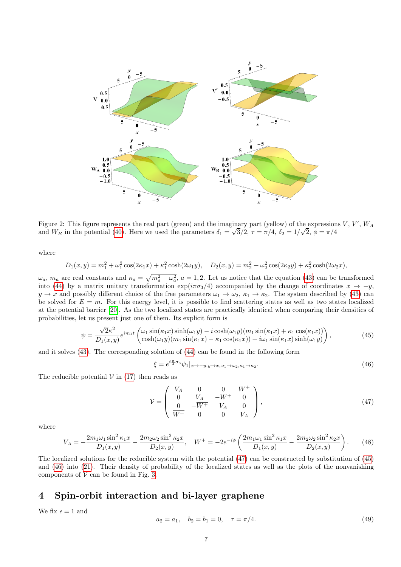<span id="page-6-0"></span>

Figure 2: This figure represents the real part (green) and the imaginary part (yellow) of the expressions  $V, V', W_A$ and  $W_B$  in the potential [\(40\)](#page-5-3). Here we used the parameters  $\delta_1 = \sqrt{3}/2$ ,  $\tau = \pi/4$ ,  $\delta_2 = 1/\sqrt{2}$ ,  $\phi = \pi/4$ 

where

$$
D_1(x,y) = m_1^2 + \omega_1^2 \cos(2\kappa_1 x) + \kappa_1^2 \cosh(2\omega_1 y), \quad D_2(x,y) = m_2^2 + \omega_2^2 \cos(2\kappa_2 y) + \kappa_2^2 \cosh(2\omega_2 x),
$$

 $\omega_a$ ,  $m_a$  are real constants and  $\kappa_a = \sqrt{m_a^2 + \omega_a^2}$ ,  $a = 1, 2$ . Let us notice that the equation [\(43\)](#page-5-4) can be transformed into [\(44\)](#page-5-4) by a matrix unitary transformation  $\exp(i\pi\sigma_3/4)$  accompanied by the change of coordinates  $x \to -y$ ,  $y \to x$  and possibly different choice of the free parameters  $\omega_1 \to \omega_2$ ,  $\kappa_1 \to \kappa_2$ . The system described by [\(43\)](#page-5-4) can be solved for  $E = m$ . For this energy level, it is possible to find scattering states as well as two states localized at the potential barrier [\[20\]](#page-11-5). As the two localized states are practically identical when comparing their densities of probabilities, let us present just one of them. Its explicit form is

<span id="page-6-2"></span>
$$
\psi = \frac{\sqrt{2}\kappa^2}{D_1(x,y)} e^{im_1t} \begin{pmatrix} \omega_1 \sin(\kappa_1 x) \sinh(\omega_1 y) - i \cosh(\omega_1 y) (m_1 \sin(\kappa_1 x) + \kappa_1 \cos(\kappa_1 x)) \\ \cosh(\omega_1 y) (m_1 \sin(\kappa_1 x) - \kappa_1 \cos(\kappa_1 x)) + i\omega_1 \sin(\kappa_1 x) \sinh(\omega_1 y) \end{pmatrix},
$$
\n(45)

and it solves [\(43\)](#page-5-4). The corresponding solution of [\(44\)](#page-5-4) can be found in the following form

<span id="page-6-3"></span>
$$
\xi = e^{i\frac{\pi}{4}\sigma_3}\psi_1|_{x \to -y, y \to x, \omega_1 \to \omega_2, \kappa_1 \to \kappa_2}.\tag{46}
$$

The reducible potential  $\underline{V}$  in [\(17\)](#page-2-2) then reads as

<span id="page-6-1"></span>
$$
\underline{\mathcal{V}} = \begin{pmatrix} V_A & 0 & 0 & W^+ \\ 0 & V_A & -W^+ & 0 \\ 0 & -W^+ & V_A & 0 \\ \overline{W^+} & 0 & 0 & V_A \end{pmatrix},
$$
(47)

where

<span id="page-6-4"></span>
$$
V_A = -\frac{2m_1\omega_1\sin^2\kappa_1x}{D_1(x,y)} - \frac{2m_2\omega_2\sin^2\kappa_2x}{D_2(x,y)}, \quad W^+ = -2e^{-i\phi}\left(\frac{2m_1\omega_1\sin^2\kappa_1x}{D_1(x,y)} - \frac{2m_2\omega_2\sin^2\kappa_2x}{D_2(x,y)}\right). \tag{48}
$$

The localized solutions for the reducible system with the potential [\(47\)](#page-6-1) can be constructed by substitution of [\(45\)](#page-6-2) and [\(46\)](#page-6-3) into [\(21\)](#page-3-4). Their density of probability of the localized states as well as the plots of the nonvanishing components of  $\underline{V}$  can be found in Fig. [3.](#page-7-0)

## 4 Spin-orbit interaction and bi-layer graphene

We fix  $\epsilon = 1$  and

$$
a_2 = a_1, \quad b_2 = b_1 = 0, \quad \tau = \pi/4. \tag{49}
$$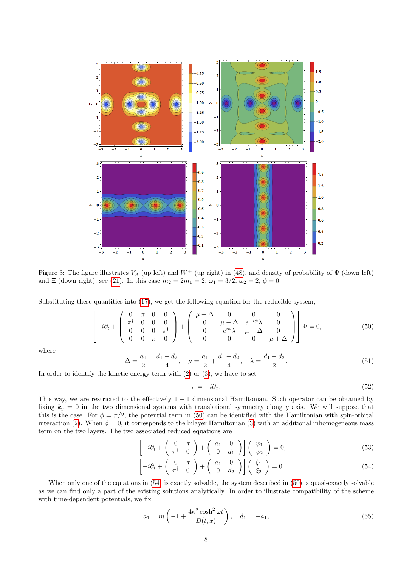<span id="page-7-0"></span>

Figure 3: The figure illustrates  $V_A$  (up left) and  $W^+$  (up right) in [\(48\)](#page-6-4), and density of probability of  $\Psi$  (down left) and  $\Xi$  (down right), see [\(21\)](#page-3-4). In this case  $m_2 = 2m_1 = 2$ ,  $\omega_1 = 3/2$ ,  $\omega_2 = 2$ ,  $\phi = 0$ .

Substituting these quantities into [\(17\)](#page-2-2), we get the following equation for the reducible system,

<span id="page-7-1"></span>
$$
\begin{bmatrix} 0 & \pi & 0 & 0 \\ -i\partial_t + \begin{pmatrix} 0 & \pi & 0 & 0 \\ \pi^{\dagger} & 0 & 0 & 0 \\ 0 & 0 & 0 & \pi^{\dagger} \\ 0 & 0 & \pi & 0 \end{pmatrix} + \begin{pmatrix} \mu + \Delta & 0 & 0 & 0 \\ 0 & \mu - \Delta & e^{-i\phi}\lambda & 0 \\ 0 & e^{i\phi}\lambda & \mu - \Delta & 0 \\ 0 & 0 & 0 & \mu + \Delta \end{pmatrix} \Psi = 0, \tag{50}
$$

where

$$
\Delta = \frac{a_1}{2} - \frac{d_1 + d_2}{4}, \quad \mu = \frac{a_1}{2} + \frac{d_1 + d_2}{4}, \quad \lambda = \frac{d_1 - d_2}{2}.
$$
\n<sup>(51)</sup>

In order to identify the kinetic energy term with  $(2)$  or  $(3)$ , we have to set

<span id="page-7-3"></span>
$$
\pi = -i\partial_x. \tag{52}
$$

This way, we are restricted to the effectively  $1 + 1$  dimensional Hamiltonian. Such operator can be obtained by fixing  $k_y = 0$  in the two dimensional systems with translational symmetry along y axis. We will suppose that this is the case. For  $\phi = \pi/2$ , the potential term in [\(50\)](#page-7-1) can be identified with the Hamiltonian with spin-orbital interaction [\(2\)](#page-0-3). When  $\phi = 0$ , it corresponds to the bilayer Hamiltonian [\(3\)](#page-1-0) with an additional inhomogeneous mass term on the two layers. The two associated reduced equations are

<span id="page-7-2"></span>
$$
\left[-i\partial_t + \begin{pmatrix} 0 & \pi \\ \pi^\dagger & 0 \end{pmatrix} + \begin{pmatrix} a_1 & 0 \\ 0 & d_1 \end{pmatrix}\right] \begin{pmatrix} \psi_1 \\ \psi_2 \end{pmatrix} = 0,\tag{53}
$$

$$
\left[-i\partial_t + \begin{pmatrix} 0 & \pi \\ \pi^\dagger & 0 \end{pmatrix} + \begin{pmatrix} a_1 & 0 \\ 0 & d_2 \end{pmatrix}\right] \begin{pmatrix} \xi_1 \\ \xi_2 \end{pmatrix} = 0.
$$
 (54)

When only one of the equations in  $(54)$  is exactly solvable, the system described in  $(50)$  is quasi-exactly solvable as we can find only a part of the existing solutions analytically. In order to illustrate compatibility of the scheme with time-dependent potentials, we fix

$$
a_1 = m \left( -1 + \frac{4\kappa^2 \cosh^2 \omega t}{D(t, x)} \right), \quad d_1 = -a_1,
$$
\n(55)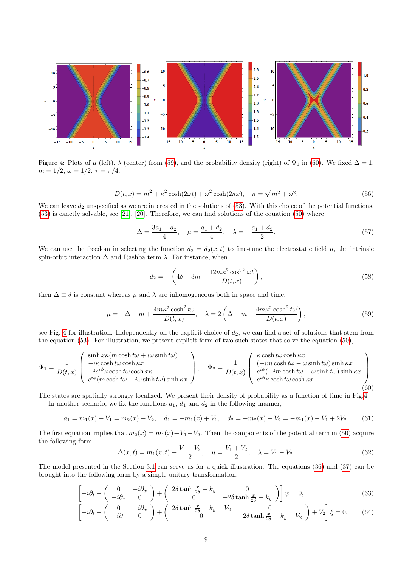<span id="page-8-2"></span>

Figure 4: Plots of  $\mu$  (left),  $\lambda$  (center) from [\(59\)](#page-8-0), and the probability density (right) of  $\Psi_1$  in [\(60\)](#page-8-1). We fixed  $\Delta = 1$ ,  $m = 1/2, \omega = 1/2, \tau = \pi/4.$ 

$$
D(t,x) = m^2 + \kappa^2 \cosh(2\omega t) + \omega^2 \cosh(2\kappa x), \quad \kappa = \sqrt{m^2 + \omega^2}.
$$
 (56)

We can leave  $d_2$  unspecified as we are interested in the solutions of  $(53)$ . With this choice of the potential functions, [\(53\)](#page-7-2) is exactly solvable, see [\[21\]](#page-11-6), [\[20\]](#page-11-5). Therefore, we can find solutions of the equation [\(50\)](#page-7-1) where

$$
\Delta = \frac{3a_1 - d_2}{4}, \quad \mu = \frac{a_1 + d_2}{4}, \quad \lambda = -\frac{a_1 + d_2}{2}.
$$
\n(57)

We can use the freedom in selecting the function  $d_2 = d_2(x,t)$  to fine-tune the electrostatic field  $\mu$ , the intrinsic spin-orbit interaction  $\Delta$  and Rashba term  $\lambda$ . For instance, when

$$
d_2 = -\left(4\delta + 3m - \frac{12m\kappa^2\cosh^2\omega t}{D(t,x)}\right),\tag{58}
$$

then  $\Delta \equiv \delta$  is constant whereas  $\mu$  and  $\lambda$  are inhomogeneous both in space and time,

<span id="page-8-0"></span>
$$
\mu = -\Delta - m + \frac{4m\kappa^2 \cosh^2 t\omega}{D(t, x)}, \quad \lambda = 2\left(\Delta + m - \frac{4m\kappa^2 \cosh^2 t\omega}{D(t, x)}\right),\tag{59}
$$

see Fig. [4](#page-8-2) for illustration. Independently on the explicit choice of  $d_2$ , we can find a set of solutions that stem from the equation [\(53\)](#page-7-2). For illustration, we present explicit form of two such states that solve the equation [\(50\)](#page-7-1),

<span id="page-8-1"></span>
$$
\Psi_1 = \frac{1}{D(t,x)} \begin{pmatrix} \sinh x \kappa (m \cosh t \omega + i \omega \sinh t \omega) \\ -i \kappa \cosh t \omega \cosh \kappa x \\ -i e^{i \phi} \kappa \cosh t \omega \cosh x \kappa \\ e^{i \phi} (m \cosh t \omega + i \omega \sinh t \omega) \sinh \kappa x \end{pmatrix}, \quad \Psi_2 = \frac{1}{D(t,x)} \begin{pmatrix} \kappa \cosh t \omega \cosh \kappa x \\ (-im \cosh t \omega - \omega \sinh t \omega) \sinh \kappa x \\ e^{i \phi} (-im \cosh t \omega - \omega \sinh t \omega) \sinh \kappa x \\ e^{i \phi} \kappa \cosh t \omega \cosh \kappa x \end{pmatrix}.
$$
\n
$$
(60)
$$

The states are spatially strongly localized. We present their density of probability as a function of time in Fig[.4.](#page-8-2)

In another scenario, we fix the functions  $a_1, d_1$  and  $d_2$  in the following manner,

<span id="page-8-3"></span>
$$
a_1 = m_1(x) + V_1 = m_2(x) + V_2, \quad d_1 = -m_1(x) + V_1, \quad d_2 = -m_2(x) + V_2 = -m_1(x) - V_1 + 2V_2. \tag{61}
$$

The first equation implies that  $m_2(x) = m_1(x) + V_1 - V_2$ . Then the components of the potential term in [\(50\)](#page-7-1) acquire the following form,

$$
\Delta(x,t) = m_1(x,t) + \frac{V_1 - V_2}{2}, \quad \mu = \frac{V_1 + V_2}{2}, \quad \lambda = V_1 - V_2.
$$
 (62)

The model presented in the Section [3.1](#page-4-5) can serve us for a quick illustration. The equations [\(36\)](#page-4-3) and [\(37\)](#page-4-3) can be brought into the following form by a simple unitary transformation,

<span id="page-8-4"></span>
$$
\begin{bmatrix} -i\partial_t + \begin{pmatrix} 0 & -i\partial_x \\ -i\partial_x & 0 \end{pmatrix} + \begin{pmatrix} 2\delta \tanh \frac{x}{2\delta} + k_y & 0 \\ 0 & -2\delta \tanh \frac{x}{2\delta} - k_y \end{pmatrix} \psi = 0, \tag{63}
$$

$$
\begin{bmatrix} -i\partial_t + \begin{pmatrix} 0 & -i\partial_x \\ -i\partial_x & 0 \end{pmatrix} + \begin{pmatrix} 2\delta \tanh\frac{x}{2\delta} + k_y - V_2 & 0 \\ 0 & -2\delta \tanh\frac{x}{2\delta} - k_y + V_2 \end{pmatrix} + V_2 \end{bmatrix} \xi = 0.
$$
 (64)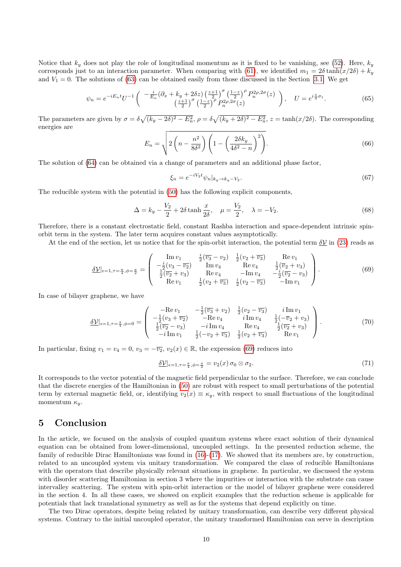Notice that  $k_y$  does not play the role of longitudinal momentum as it is fixed to be vanishing, see [\(52\)](#page-7-3). Here,  $k_y$ corresponds just to an interaction parameter. When comparing with [\(61\)](#page-8-3), we identified  $m_1 = 2\delta \tanh(x/2\delta) + k_y$ and  $V_1 = 0$ . The solutions of [\(63\)](#page-8-4) can be obtained easily from those discussed in the Section [3.1.](#page-4-5) We get

$$
\psi_n = e^{-iE_n t} U^{-1} \begin{pmatrix} -\frac{i}{E_n} (\partial_x + k_y + 2\delta z) \left(\frac{z+1}{2}\right)^\sigma \left(\frac{1-z}{2}\right)^\rho P_n^{2\rho,2\sigma}(z) \\ \left(\frac{z+1}{2}\right)^\sigma \left(\frac{1-z}{2}\right)^\rho P_n^{2\rho,2\sigma}(z) \end{pmatrix}, \quad U = e^{i\frac{\pi}{4}\sigma_1}.
$$
 (65)

The parameters are given by  $\sigma = \delta \sqrt{(k_y - 2\delta)^2 - E_n^2}$ ,  $\rho = \delta \sqrt{(k_y + 2\delta)^2 - E_n^2}$ ,  $z = \tanh(x/2\delta)$ . The corresponding energies are

$$
E_n = \sqrt{2\left(n - \frac{n^2}{8\delta^2}\right)\left(1 - \left(\frac{2\delta k_y}{4\delta^2 - n}\right)^2\right)}.
$$
\n(66)

The solution of [\(64\)](#page-8-4) can be obtained via a change of parameters and an additional phase factor,

$$
\xi_n = e^{-iV_2 t} \psi_n|_{k_y \to k_y - V_2}.\tag{67}
$$

The reducible system with the potential in [\(50\)](#page-7-1) has the following explicit components,

$$
\Delta = k_y - \frac{V_2}{2} + 2\delta \tanh \frac{x}{2\delta}, \quad \mu = \frac{V_2}{2}, \quad \lambda = -V_2.
$$
 (68)

Therefore, there is a constant electrostatic field, constant Rashba interaction and space-dependent intrinsic spinorbit term in the system. The later term acquires constant values asymptotically.

At the end of the section, let us notice that for the spin-orbit interaction, the potential term  $\delta V$  in [\(23\)](#page-3-3) reads as

<span id="page-9-0"></span>
$$
\underline{\delta \mathcal{V}}|_{\epsilon=1,\tau=\frac{\pi}{4},\phi=\frac{\pi}{2}} = \begin{pmatrix} \text{Im } v_1 & \frac{i}{2}(\overline{v_3} - v_2) & \frac{1}{2}(v_2 + \overline{v_3}) & \text{Re } v_1 \\ -\frac{i}{2}(v_3 - \overline{v_2}) & \text{Im } v_4 & \text{Re } v_4 & \frac{1}{2}(\overline{v_2} + v_3) \\ \frac{1}{2}(\overline{v_2} + v_3) & \text{Re } v_4 & -\text{Im } v_4 & -\frac{i}{2}(\overline{v_2} - v_3) \\ \text{Re } v_1 & \frac{1}{2}(v_2 + \overline{v_3}) & \frac{i}{2}(v_2 - \overline{v_3}) & -\text{Im } v_1 \end{pmatrix}.
$$
 (69)

In case of bilayer graphene, we have

$$
\underline{\delta \mathcal{V}}|_{\epsilon=1,\tau=\frac{\pi}{4},\phi=0} = \begin{pmatrix} -\text{Re}\,v_1 & -\frac{1}{2}(\overline{v_3} + v_2) & \frac{1}{2}(v_2 - \overline{v_3}) & i \,\text{Im}\,v_1 \\ -\frac{1}{2}(v_3 + \overline{v_2}) & -\text{Re}\,v_4 & i \,\text{Im}\,v_4 & \frac{1}{2}(-\overline{v_2} + v_3) \\ \frac{1}{2}(\overline{v_2} - v_3) & -i \,\text{Im}\,v_4 & \text{Re}\,v_4 & \frac{1}{2}(\overline{v_2} + v_3) \\ -i \,\text{Im}\,v_1 & \frac{1}{2}(-v_2 + \overline{v_3}) & \frac{1}{2}(v_2 + \overline{v_3}) & \text{Re}\,v_1 \end{pmatrix} . \tag{70}
$$

In particular, fixing  $v_1 = v_4 = 0$ ,  $v_3 = -\overline{v_2}$ ,  $v_2(x) \in \mathbb{R}$ , the expression [\(69\)](#page-9-0) reduces into

$$
\underline{\delta \mathcal{V}}|_{\epsilon=1,\tau=\frac{\pi}{4},\phi=\frac{\pi}{2}} = v_2(x) \,\sigma_0 \otimes \sigma_2. \tag{71}
$$

It corresponds to the vector potential of the magnetic field perpendicular to the surface. Therefore, we can conclude that the discrete energies of the Hamiltonian in [\(50\)](#page-7-1) are robust with respect to small perturbations of the potential term by external magnetic field, or, identifying  $v_2(x) \equiv \kappa_y$ , with respect to small fluctuations of the longitudinal momentum  $\kappa_u$ .

### 5 Conclusion

In the article, we focused on the analysis of coupled quantum systems where exact solution of their dynamical equation can be obtained from lower-dimensional, uncoupled settings. In the presented reduction scheme, the family of reducible Dirac Hamiltonians was found in [\(16\)](#page-2-3)-[\(17\)](#page-2-2). We showed that its members are, by construction, related to an uncoupled system via unitary transformation. We compared the class of reducible Hamiltonians with the operators that describe physically relevant situations in graphene. In particular, we discussed the system with disorder scattering Hamiltonian in section 3 where the impurities or interaction with the substrate can cause intervalley scattering. The system with spin-orbit interaction or the model of bilayer graphene were considered in the section 4. In all these cases, we showed on explicit examples that the reduction scheme is applicable for potentials that lack translational symmetry as well as for the systems that depend explicitly on time.

The two Dirac operators, despite being related by unitary transformation, can describe very different physical systems. Contrary to the initial uncoupled operator, the unitary transformed Hamiltonian can serve in description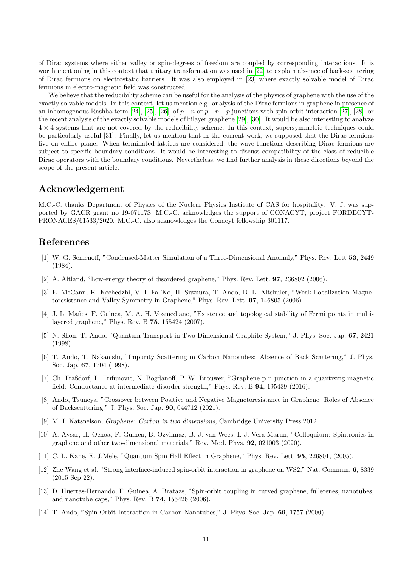of Dirac systems where either valley or spin-degrees of freedom are coupled by corresponding interactions. It is worth mentioning in this context that unitary transformation was used in [\[22\]](#page-11-7) to explain absence of back-scattering of Dirac fermions on electrostatic barriers. It was also employed in [\[23\]](#page-11-8) where exactly solvable model of Dirac fermions in electro-magnetic field was constructed.

We believe that the reducibility scheme can be useful for the analysis of the physics of graphene with the use of the exactly solvable models. In this context, let us mention e.g. analysis of the Dirac fermions in graphene in presence of an inhomogenous Rashba term [\[24\]](#page-11-9), [\[25\]](#page-11-10), [\[26\]](#page-11-11), of  $p-n$  or  $p-n-p$  junctions with spin-orbit interaction [\[27\]](#page-11-12), [\[28\]](#page-11-13), or the recent analysis of the exactly solvable models of bilayer graphene [\[29\]](#page-11-14), [\[30\]](#page-11-15). It would be also interesting to analyze  $4 \times 4$  systems that are not covered by the reducibility scheme. In this context, supersymmetric techniques could be particularly useful [\[31\]](#page-11-16). Finally, let us mention that in the current work, we supposed that the Dirac fermions live on entire plane. When terminated lattices are considered, the wave functions describing Dirac fermions are subject to specific boundary conditions. It would be interesting to discuss compatibility of the class of reducible Dirac operators with the boundary conditions. Nevertheless, we find further analysis in these directions beyond the scope of the present article.

## Acknowledgement

M.C.-C. thanks Department of Physics of the Nuclear Physics Institute of CAS for hospitality. V. J. was supported by GACR grant no 19-07117S. M.C.-C. acknowledges the support of CONACYT, project FORDECYT-PRONACES/61533/2020. M.C.-C. also acknowledges the Conacyt fellowship 301117.

## References

- <span id="page-10-0"></span>[1] W. G. Semenoff, "Condensed-Matter Simulation of a Three-Dimensional Anomaly," Phys. Rev. Lett 53, 2449 (1984).
- <span id="page-10-1"></span>[2] A. Altland, "Low-energy theory of disordered graphene," Phys. Rev. Lett. 97, 236802 (2006).
- <span id="page-10-2"></span>[3] E. McCann, K. Kechedzhi, V. I. Fal'Ko, H. Suzuura, T. Ando, B. L. Altshuler, "Weak-Localization Magnetoresistance and Valley Symmetry in Graphene," Phys. Rev. Lett. 97, 146805 (2006).
- <span id="page-10-3"></span>[4] J. L. Mañes, F. Guinea, M. A. H. Vozmediano, "Existence and topological stability of Fermi points in multilayered graphene," Phys. Rev. B 75, 155424 (2007).
- <span id="page-10-4"></span>[5] N. Shon, T. Ando, "Quantum Transport in Two-Dimensional Graphite System," J. Phys. Soc. Jap. 67, 2421 (1998).
- <span id="page-10-5"></span>[6] T. Ando, T. Nakanishi, "Impurity Scattering in Carbon Nanotubes: Absence of Back Scattering," J. Phys. Soc. Jap. 67, 1704 (1998).
- <span id="page-10-6"></span>[7] Ch. Fräßdorf, L. Trifunovic, N. Bogdanoff, P. W. Brouwer, "Graphene p n junction in a quantizing magnetic field: Conductance at intermediate disorder strength," Phys. Rev. B 94, 195439 (2016).
- <span id="page-10-7"></span>[8] Ando, Tsuneya, "Crossover between Positive and Negative Magnetoresistance in Graphene: Roles of Absence of Backscattering," J. Phys. Soc. Jap. 90, 044712 (2021).
- <span id="page-10-8"></span>[9] M. I. Katsnelson, Graphene: Carbon in two dimensions, Cambridge University Press 2012.
- <span id="page-10-9"></span>[10] A. Avsar, H. Ochoa, F. Guinea, B. Ozyilmaz, B. J. van Wees, I. J. Vera-Marun, "Colloquium: Spintronics in ¨ graphene and other two-dimensional materials," Rev. Mod. Phys. 92, 021003 (2020).
- <span id="page-10-10"></span>[11] C. L. Kane, E. J.Mele, "Quantum Spin Hall Effect in Graphene," Phys. Rev. Lett. 95, 226801, (2005).
- <span id="page-10-11"></span>[12] Zhe Wang et al. "Strong interface-induced spin-orbit interaction in graphene on WS2," Nat. Commun. 6, 8339 (2015 Sep 22).
- <span id="page-10-12"></span>[13] D. Huertas-Hernando, F. Guinea, A. Brataas, "Spin-orbit coupling in curved graphene, fullerenes, nanotubes, and nanotube caps," Phys. Rev. B 74, 155426 (2006).
- <span id="page-10-13"></span>[14] T. Ando, "Spin-Orbit Interaction in Carbon Nanotubes," J. Phys. Soc. Jap. 69, 1757 (2000).